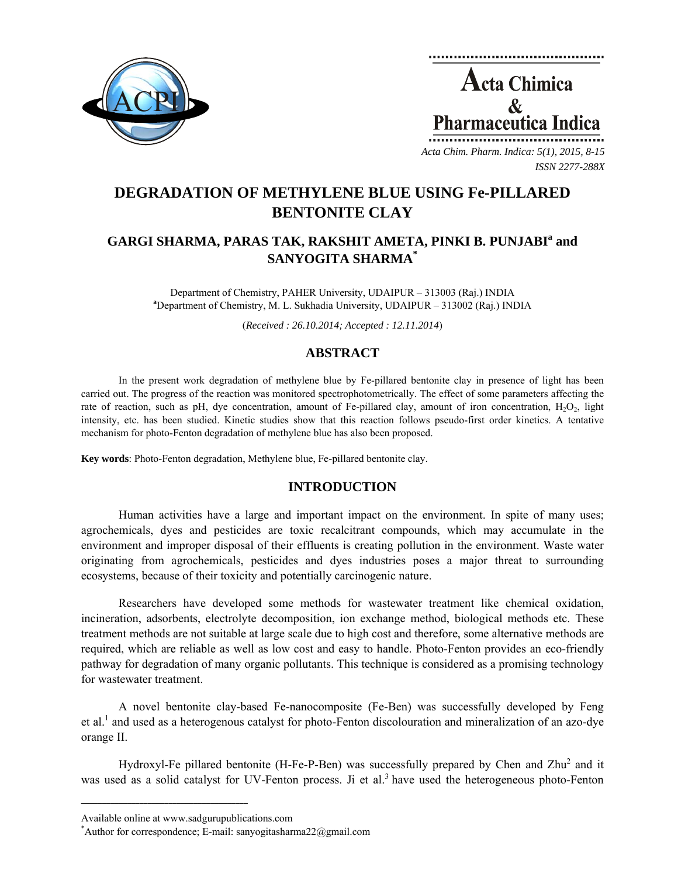



*ISSN 2277-288X*

# **DEGRADATION OF METHYLENE BLUE USING Fe-PILLARED BENTONITE CLAY**

## GARGI SHARMA, PARAS TAK, RAKSHIT AMETA, PINKI B. PUNJABI<sup>a</sup> and **SANYOGITA SHARMA\***

Department of Chemistry, PAHER University, UDAIPUR – 313003 (Raj.) INDIA **a** Department of Chemistry, M. L. Sukhadia University, UDAIPUR – 313002 (Raj.) INDIA

(*Received : 26.10.2014; Accepted : 12.11.2014*)

## **ABSTRACT**

In the present work degradation of methylene blue by Fe-pillared bentonite clay in presence of light has been carried out. The progress of the reaction was monitored spectrophotometrically. The effect of some parameters affecting the rate of reaction, such as pH, dye concentration, amount of Fe-pillared clay, amount of iron concentration,  $H_2O_2$ , light intensity, etc. has been studied. Kinetic studies show that this reaction follows pseudo-first order kinetics. A tentative mechanism for photo-Fenton degradation of methylene blue has also been proposed.

**Key words**: Photo-Fenton degradation, Methylene blue, Fe-pillared bentonite clay.

## **INTRODUCTION**

Human activities have a large and important impact on the environment. In spite of many uses; agrochemicals, dyes and pesticides are toxic recalcitrant compounds, which may accumulate in the environment and improper disposal of their effluents is creating pollution in the environment. Waste water originating from agrochemicals, pesticides and dyes industries poses a major threat to surrounding ecosystems, because of their toxicity and potentially carcinogenic nature.

Researchers have developed some methods for wastewater treatment like chemical oxidation, incineration, adsorbents, electrolyte decomposition, ion exchange method, biological methods etc. These treatment methods are not suitable at large scale due to high cost and therefore, some alternative methods are required, which are reliable as well as low cost and easy to handle. Photo-Fenton provides an eco-friendly pathway for degradation of many organic pollutants. This technique is considered as a promising technology for wastewater treatment.

A novel bentonite clay-based Fe-nanocomposite (Fe-Ben) was successfully developed by Feng et al.<sup>1</sup> and used as a heterogenous catalyst for photo-Fenton discolouration and mineralization of an azo-dye orange II.

Hydroxyl-Fe pillared bentonite (H-Fe-P-Ben) was successfully prepared by Chen and Zhu<sup>2</sup> and it was used as a solid catalyst for UV-Fenton process. Ji et al.<sup>3</sup> have used the heterogeneous photo-Fenton

**\_\_\_\_\_\_\_\_\_\_\_\_\_\_\_\_\_\_\_\_\_\_\_\_\_\_\_\_\_\_\_\_\_\_\_\_\_\_\_\_**

Available online at www.sadgurupublications.com \*

Author for correspondence; E-mail: sanyogitasharma $22$ @gmail.com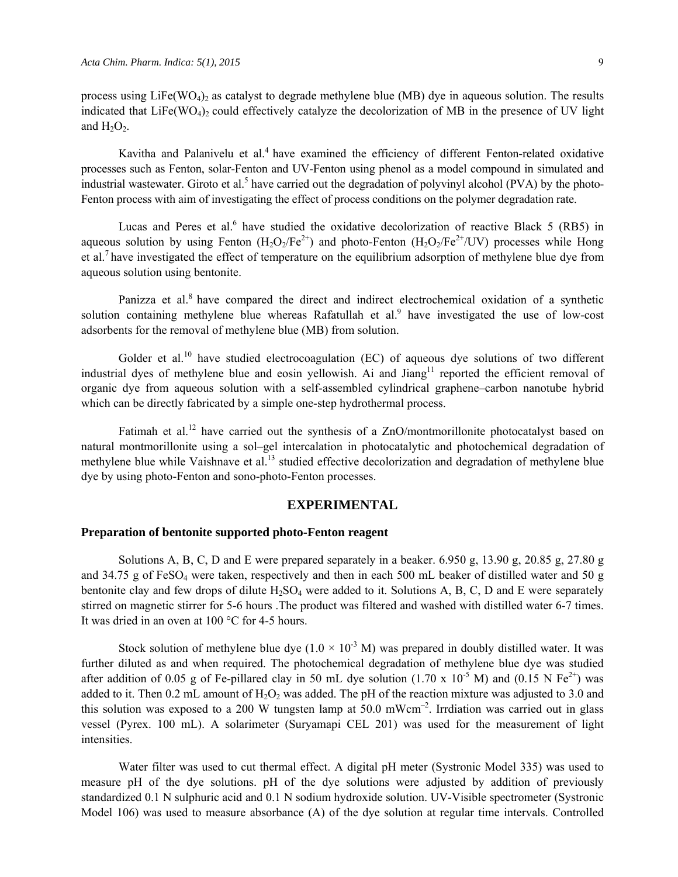process using  $Life(WO_4)$  as catalyst to degrade methylene blue (MB) dye in aqueous solution. The results indicated that  $LiFe(WO_4)$  could effectively catalyze the decolorization of MB in the presence of UV light and  $H_2O_2$ .

Kavitha and Palanivelu et al.<sup>4</sup> have examined the efficiency of different Fenton-related oxidative processes such as Fenton, solar-Fenton and UV-Fenton using phenol as a model compound in simulated and industrial wastewater. Giroto et al.<sup>5</sup> have carried out the degradation of polyvinyl alcohol (PVA) by the photo-Fenton process with aim of investigating the effect of process conditions on the polymer degradation rate.

Lucas and Peres et al.<sup>6</sup> have studied the oxidative decolorization of reactive Black 5 (RB5) in aqueous solution by using Fenton  $(H_2O_2/Fe^{2+})$  and photo-Fenton  $(H_2O_2/Fe^{2+}/UV)$  processes while Hong et al.<sup>7</sup> have investigated the effect of temperature on the equilibrium adsorption of methylene blue dye from aqueous solution using bentonite.

Panizza et al.<sup>8</sup> have compared the direct and indirect electrochemical oxidation of a synthetic solution containing methylene blue whereas Rafatullah et al.<sup>9</sup> have investigated the use of low-cost adsorbents for the removal of methylene blue (MB) from solution.

Golder et al.<sup>10</sup> have studied electrocoagulation (EC) of aqueous dye solutions of two different industrial dyes of methylene blue and eosin yellowish. Ai and Jiang<sup>11</sup> reported the efficient removal of organic dye from aqueous solution with a self-assembled cylindrical graphene–carbon nanotube hybrid which can be directly fabricated by a simple one-step hydrothermal process.

Fatimah et al.<sup>12</sup> have carried out the synthesis of a ZnO/montmorillonite photocatalyst based on natural montmorillonite using a sol–gel intercalation in photocatalytic and photochemical degradation of methylene blue while Vaishnave et al.<sup>13</sup> studied effective decolorization and degradation of methylene blue dye by using photo-Fenton and sono-photo-Fenton processes.

## **EXPERIMENTAL**

#### **Preparation of bentonite supported photo-Fenton reagent**

Solutions A, B, C, D and E were prepared separately in a beaker. 6.950 g, 13.90 g, 20.85 g, 27.80 g and 34.75 g of FeSO<sub>4</sub> were taken, respectively and then in each 500 mL beaker of distilled water and 50 g bentonite clay and few drops of dilute  $H_2SO_4$  were added to it. Solutions A, B, C, D and E were separately stirred on magnetic stirrer for 5-6 hours .The product was filtered and washed with distilled water 6-7 times. It was dried in an oven at 100 °C for 4-5 hours.

Stock solution of methylene blue dye ( $1.0 \times 10^{-3}$  M) was prepared in doubly distilled water. It was further diluted as and when required. The photochemical degradation of methylene blue dye was studied after addition of 0.05 g of Fe-pillared clay in 50 mL dye solution (1.70 x 10<sup>-5</sup> M) and (0.15 N Fe<sup>2+</sup>) was added to it. Then 0.2 mL amount of  $H_2O_2$  was added. The pH of the reaction mixture was adjusted to 3.0 and this solution was exposed to a 200 W tungsten lamp at 50.0 mWcm<sup>-2</sup>. Irrdiation was carried out in glass vessel (Pyrex. 100 mL). A solarimeter (Suryamapi CEL 201) was used for the measurement of light intensities.

Water filter was used to cut thermal effect. A digital pH meter (Systronic Model 335) was used to measure pH of the dye solutions. pH of the dye solutions were adjusted by addition of previously standardized 0.1 N sulphuric acid and 0.1 N sodium hydroxide solution. UV-Visible spectrometer (Systronic Model 106) was used to measure absorbance (A) of the dye solution at regular time intervals. Controlled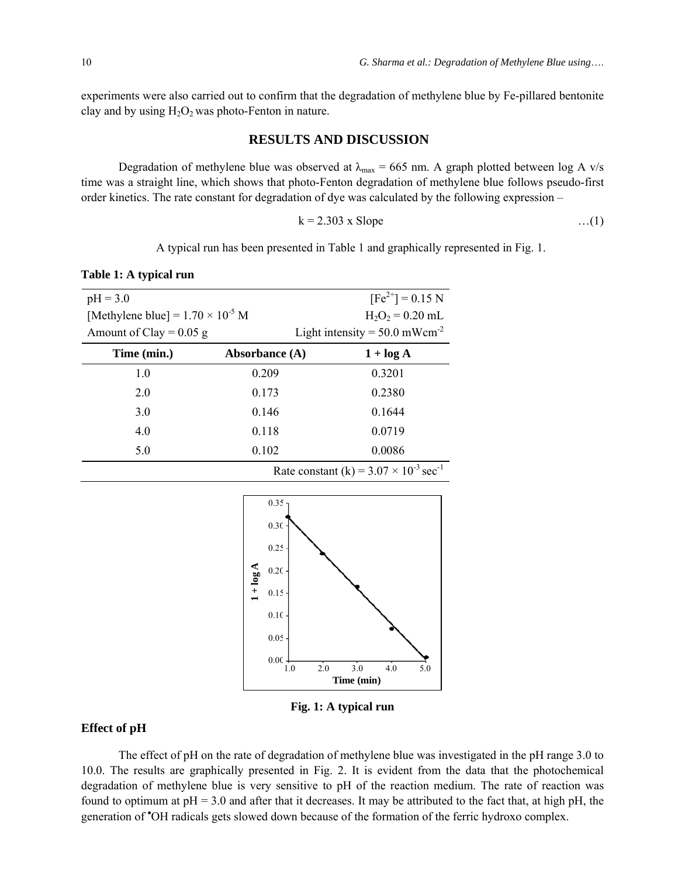experiments were also carried out to confirm that the degradation of methylene blue by Fe-pillared bentonite clay and by using  $H_2O_2$  was photo-Fenton in nature.

## **RESULTS AND DISCUSSION**

Degradation of methylene blue was observed at  $\lambda_{\text{max}} = 665 \text{ nm}$ . A graph plotted between log A v/s time was a straight line, which shows that photo-Fenton degradation of methylene blue follows pseudo-first order kinetics. The rate constant for degradation of dye was calculated by the following expression –

$$
k = 2.303 \times \text{Slope}
$$
 ... (1)

A typical run has been presented in Table 1 and graphically represented in Fig. 1.

**Table 1: A typical run** 

| $pH = 3.0$                                                  |                  | $[Fe^{2+}] = 0.15 N$                        |
|-------------------------------------------------------------|------------------|---------------------------------------------|
| [Methylene blue] = $1.70 \times 10^{-5}$ M                  |                  | $H_2O_2 = 0.20$ mL                          |
| Amount of Clay = $0.05$ g                                   |                  | Light intensity = $50.0$ mWcm <sup>-2</sup> |
| Time (min.)                                                 | Absorbance $(A)$ | $1 + \log A$                                |
| 1.0                                                         | 0.209            | 0.3201                                      |
| 2.0                                                         | 0.173            | 0.2380                                      |
| 3.0                                                         | 0.146            | 0.1644                                      |
| 4.0                                                         | 0.118            | 0.0719                                      |
| 5.0                                                         | 0.102            | 0.0086                                      |
| Rate constant (k) = $3.07 \times 10^{-3}$ sec <sup>-1</sup> |                  |                                             |



**Fig. 1: A typical run** 

## **Effect of pH**

The effect of pH on the rate of degradation of methylene blue was investigated in the pH range 3.0 to 10.0. The results are graphically presented in Fig. 2. It is evident from the data that the photochemical degradation of methylene blue is very sensitive to pH of the reaction medium. The rate of reaction was found to optimum at  $pH = 3.0$  and after that it decreases. It may be attributed to the fact that, at high  $pH$ , the generation of • OH radicals gets slowed down because of the formation of the ferric hydroxo complex.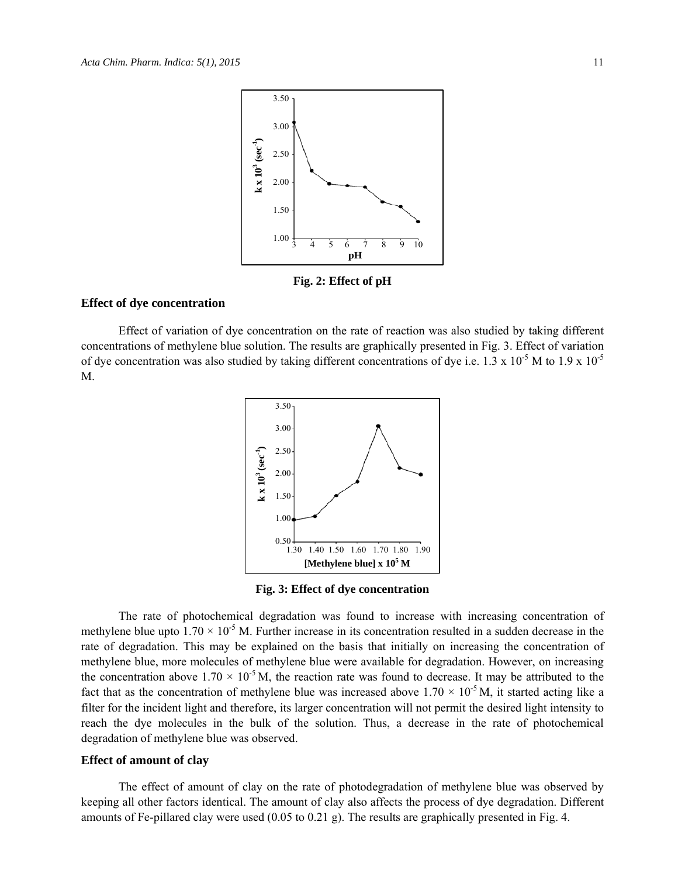

**Fig. 2: Effect of pH** 

#### **Effect of dye concentration**

Effect of variation of dye concentration on the rate of reaction was also studied by taking different concentrations of methylene blue solution. The results are graphically presented in Fig. 3. Effect of variation of dye concentration was also studied by taking different concentrations of dye i.e. 1.3 x 10<sup>-5</sup> M to 1.9 x 10<sup>-5</sup> M.



**Fig. 3: Effect of dye concentration** 

The rate of photochemical degradation was found to increase with increasing concentration of methylene blue upto  $1.70 \times 10^{-5}$  M. Further increase in its concentration resulted in a sudden decrease in the rate of degradation. This may be explained on the basis that initially on increasing the concentration of methylene blue, more molecules of methylene blue were available for degradation. However, on increasing the concentration above  $1.70 \times 10^{-5}$  M, the reaction rate was found to decrease. It may be attributed to the fact that as the concentration of methylene blue was increased above  $1.70 \times 10^{-5}$  M, it started acting like a filter for the incident light and therefore, its larger concentration will not permit the desired light intensity to reach the dye molecules in the bulk of the solution. Thus, a decrease in the rate of photochemical degradation of methylene blue was observed.

#### **Effect of amount of clay**

The effect of amount of clay on the rate of photodegradation of methylene blue was observed by keeping all other factors identical. The amount of clay also affects the process of dye degradation. Different amounts of Fe-pillared clay were used (0.05 to 0.21 g). The results are graphically presented in Fig. 4.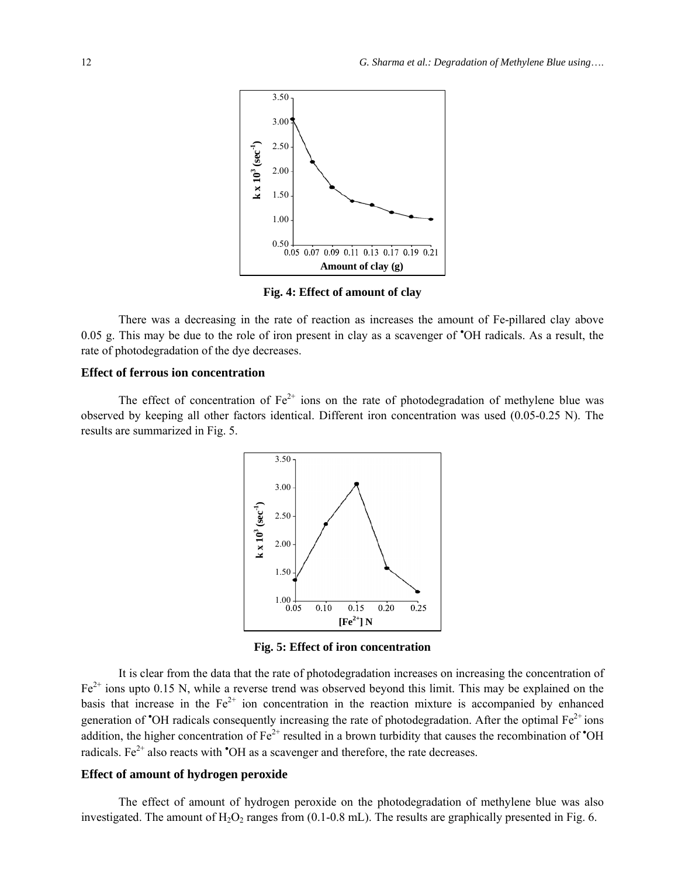

**Fig. 4: Effect of amount of clay** 

There was a decreasing in the rate of reaction as increases the amount of Fe-pillared clay above 0.05 g. This may be due to the role of iron present in clay as a scavenger of <sup>\*</sup>OH radicals. As a result, the rate of photodegradation of the dye decreases.

## **Effect of ferrous ion concentration**

The effect of concentration of  $Fe^{2+}$  ions on the rate of photodegradation of methylene blue was observed by keeping all other factors identical. Different iron concentration was used (0.05-0.25 N). The results are summarized in Fig. 5.



**Fig. 5: Effect of iron concentration** 

It is clear from the data that the rate of photodegradation increases on increasing the concentration of  $Fe<sup>2+</sup>$  ions upto 0.15 N, while a reverse trend was observed beyond this limit. This may be explained on the basis that increase in the  $Fe^{2+}$  ion concentration in the reaction mixture is accompanied by enhanced generation of  $\textdegree$ OH radicals consequently increasing the rate of photodegradation. After the optimal  $Fe^{2+}$  ions addition, the higher concentration of  $Fe^{2+}$  resulted in a brown turbidity that causes the recombination of  $\textdegree$ OH radicals. Fe<sup> $2+$ </sup> also reacts with  $\text{O}H$  as a scavenger and therefore, the rate decreases.

## **Effect of amount of hydrogen peroxide**

The effect of amount of hydrogen peroxide on the photodegradation of methylene blue was also investigated. The amount of  $H_2O_2$  ranges from (0.1-0.8 mL). The results are graphically presented in Fig. 6.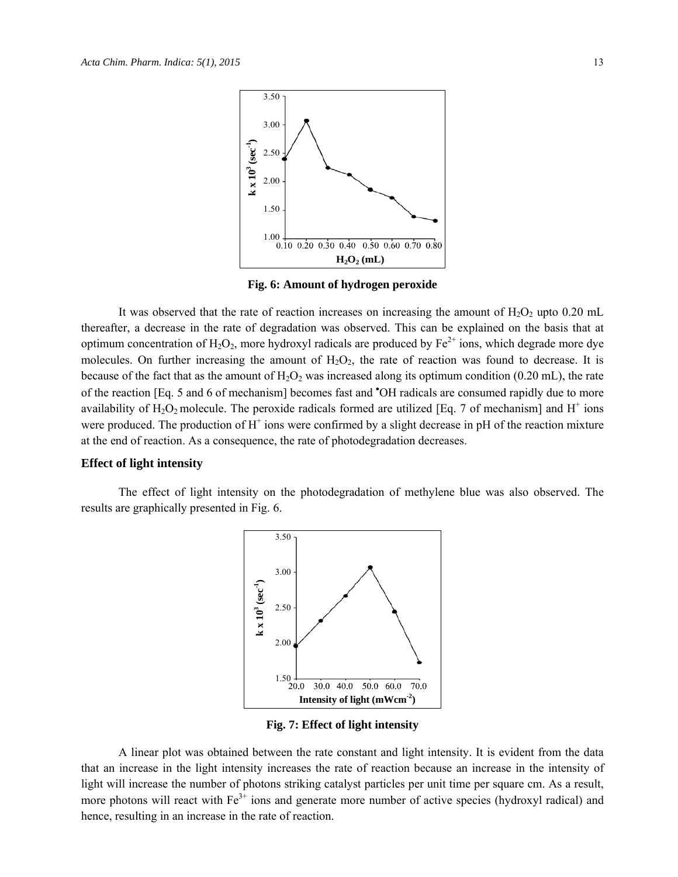

**Fig. 6: Amount of hydrogen peroxide** 

It was observed that the rate of reaction increases on increasing the amount of  $H_2O_2$  upto 0.20 mL thereafter, a decrease in the rate of degradation was observed. This can be explained on the basis that at optimum concentration of  $H_2O_2$ , more hydroxyl radicals are produced by  $Fe^{2+}$  ions, which degrade more dye molecules. On further increasing the amount of  $H_2O_2$ , the rate of reaction was found to decrease. It is because of the fact that as the amount of  $H_2O_2$  was increased along its optimum condition (0.20 mL), the rate of the reaction [Eq. 5 and 6 of mechanism] becomes fast and 'OH radicals are consumed rapidly due to more availability of  $H_2O_2$  molecule. The peroxide radicals formed are utilized [Eq. 7 of mechanism] and  $H^+$  ions were produced. The production of  $H^+$  ions were confirmed by a slight decrease in pH of the reaction mixture at the end of reaction. As a consequence, the rate of photodegradation decreases.

#### **Effect of light intensity**

The effect of light intensity on the photodegradation of methylene blue was also observed. The results are graphically presented in Fig. 6.



**Fig. 7: Effect of light intensity** 

A linear plot was obtained between the rate constant and light intensity. It is evident from the data that an increase in the light intensity increases the rate of reaction because an increase in the intensity of light will increase the number of photons striking catalyst particles per unit time per square cm. As a result, more photons will react with  $Fe<sup>3+</sup>$  ions and generate more number of active species (hydroxyl radical) and hence, resulting in an increase in the rate of reaction.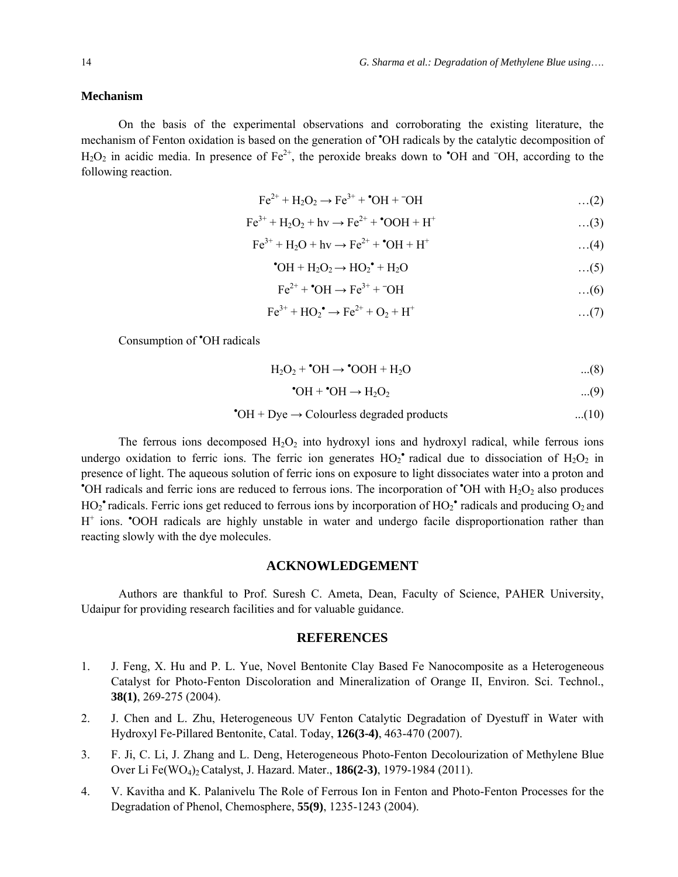#### **Mechanism**

On the basis of the experimental observations and corroborating the existing literature, the mechanism of Fenton oxidation is based on the generation of 'OH radicals by the catalytic decomposition of H<sub>2</sub>O<sub>2</sub> in acidic media. In presence of Fe<sup>2+</sup>, the peroxide breaks down to <sup>•</sup>OH and <sup>–</sup>OH, according to the following reaction.

$$
\text{Fe}^{2+} + \text{H}_2\text{O}_2 \longrightarrow \text{Fe}^{3+} + {}^{\bullet}\text{OH} + {}^{\circ}\text{OH}
$$
...(2)

$$
Fe^{3+} + H_2O_2 + hv \rightarrow Fe^{2+} + OOH + H^+ \tag{3}
$$

$$
Fe^{3+} + H_2O + hv \to Fe^{2+} + OH + H^+ \tag{4}
$$

$$
^{\bullet}OH + H_2O_2 \rightarrow HO_2^{\bullet} + H_2O \qquad \qquad \dots (5)
$$

$$
\text{Fe}^{2+} + {}^{\bullet}\text{OH} \rightarrow \text{Fe}^{3+} + {}^{\bullet}\text{OH}
$$
...(6)

$$
Fe^{3+} + HO_2^{\bullet} \to Fe^{2+} + O_2 + H^+ \tag{7}
$$

Consumption of • OH radicals

$$
H_2O_2 + \bullet OH \rightarrow \bullet OOH + H_2O \qquad \qquad \dots (8)
$$

$$
^{\bullet}\text{OH} + ^{\bullet}\text{OH} \rightarrow \text{H}_2\text{O}_2 \tag{9}
$$

$$
^{\bullet}OH + Dye \rightarrow Colourless degraded products \qquad \qquad ...(10)
$$

The ferrous ions decomposed  $H_2O_2$  into hydroxyl ions and hydroxyl radical, while ferrous ions undergo oxidation to ferric ions. The ferric ion generates  $HO_2^{\bullet}$  radical due to dissociation of  $H_2O_2$  in presence of light. The aqueous solution of ferric ions on exposure to light dissociates water into a proton and <sup>\*</sup>OH radicals and ferric ions are reduced to ferrous ions. The incorporation of <sup>\*</sup>OH with H<sub>2</sub>O<sub>2</sub> also produces  $HO_2^{\bullet}$  radicals. Ferric ions get reduced to ferrous ions by incorporation of  $HO_2^{\bullet}$  radicals and producing  $O_2$  and H<sup>+</sup> ions. **COH** radicals are highly unstable in water and undergo facile disproportionation rather than reacting slowly with the dye molecules.

## **ACKNOWLEDGEMENT**

Authors are thankful to Prof. Suresh C. Ameta, Dean, Faculty of Science, PAHER University, Udaipur for providing research facilities and for valuable guidance.

#### **REFERENCES**

- 1. J. Feng, X. Hu and P. L. Yue, Novel Bentonite Clay Based Fe Nanocomposite as a Heterogeneous Catalyst for Photo-Fenton Discoloration and Mineralization of Orange II, Environ. Sci. Technol., **38(1)**, 269-275 (2004).
- 2. J. Chen and L. Zhu, Heterogeneous UV Fenton Catalytic Degradation of Dyestuff in Water with Hydroxyl Fe-Pillared Bentonite, Catal. Today, **126(3-4)**, 463-470 (2007).
- 3. F. Ji, C. Li, J. Zhang and L. Deng, Heterogeneous Photo-Fenton Decolourization of Methylene Blue Over Li Fe(WO4)2 Catalyst, J. Hazard. Mater., **186(2-3)**, 1979-1984 (2011).
- 4. V. Kavitha and K. Palanivelu The Role of Ferrous Ion in Fenton and Photo-Fenton Processes for the Degradation of Phenol, Chemosphere, **55(9)**, 1235-1243 (2004).